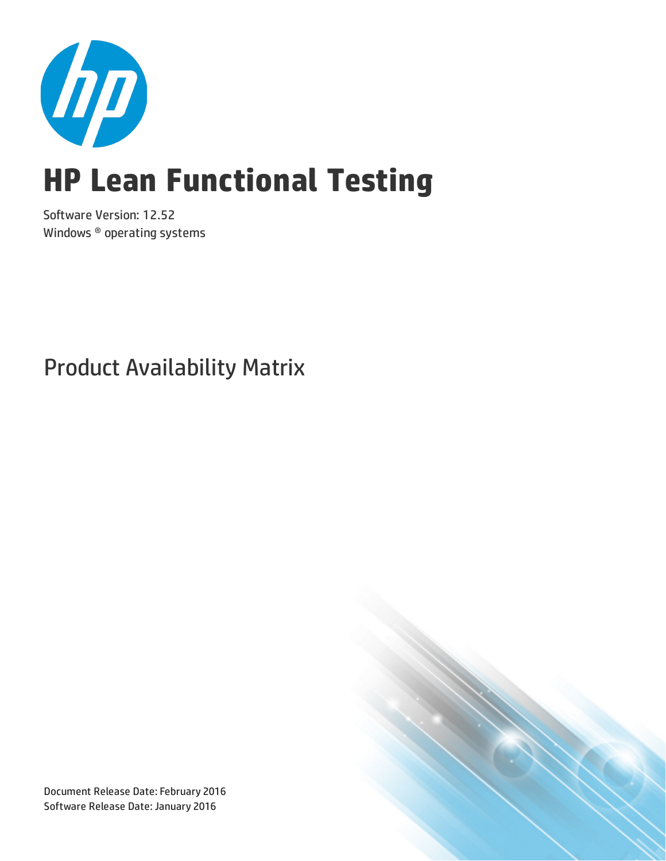

# **HP Lean Functional Testing**

Software Version: 12.52 Windows ® operating systems

Product Availability Matrix



Document Release Date: February 2016 Software Release Date: January 2016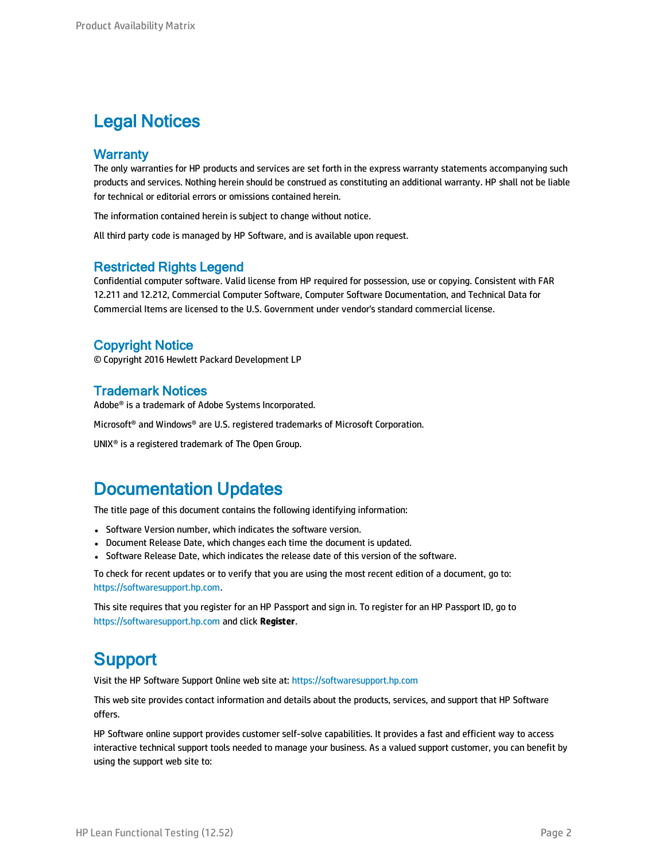#### Legal Notices

#### **Warranty**

The only warranties for HP products and services are set forth in the express warranty statements accompanying such products and services. Nothing herein should be construed as constituting an additional warranty. HP shall not be liable for technical or editorial errors or omissions contained herein.

The information contained herein is subject to change without notice.

All third party code is managed by HP Software, and is available upon request.

#### Restricted Rights Legend

Confidential computer software. Valid license from HP required for possession, use or copying. Consistent with FAR 12.211 and 12.212, Commercial Computer Software, Computer Software Documentation, and Technical Data for Commercial Items are licensed to the U.S. Government under vendor's standard commercial license.

#### Copyright Notice

© Copyright 2016 Hewlett Packard Development LP

#### Trademark Notices

Adobe® is a trademark of Adobe Systems Incorporated.

Microsoft® and Windows® are U.S. registered trademarks of Microsoft Corporation.

UNIX® is a registered trademark of The Open Group.

#### Documentation Updates

The title page of this document contains the following identifying information:

- Software Version number, which indicates the software version.
- Document Release Date, which changes each time the document is updated.
- Software Release Date, which indicates the release date of this version of the software.

To check for recent updates or to verify that you are using the most recent edition of a document, go to: [https://softwaresupport.hp.com](https://softwaresupport.hp.com/).

This site requires that you register for an HP Passport and sign in. To register for an HP Passport ID, go to [https://softwaresupport.hp.com](https://softwaresupport.hp.com/) and click **Register**.

#### **Support**

Visit the HP Software Support Online web site at: [https://softwaresupport.hp.com](https://softwaresupport.hp.com/)

This web site provides contact information and details about the products, services, and support that HP Software offers.

HP Software online support provides customer self-solve capabilities. It provides a fast and efficient way to access interactive technical support tools needed to manage your business. As a valued support customer, you can benefit by using the support web site to: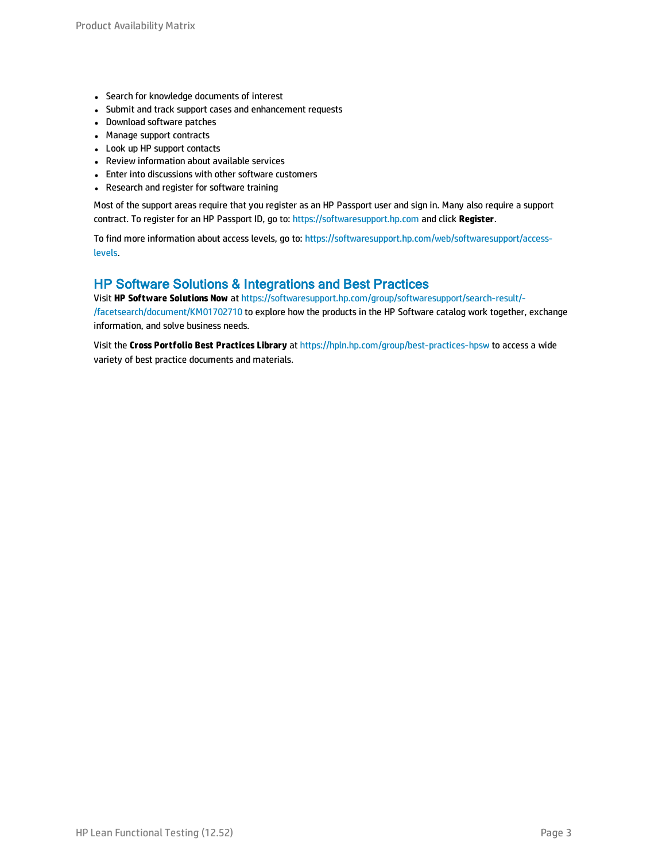- Search for knowledge documents of interest
- Submit and track support cases and enhancement requests
- Download software patches
- Manage support contracts
- Look up HP support contacts
- Review information about available services
- Enter into discussions with other software customers
- Research and register for software training

Most of the support areas require that you register as an HP Passport user and sign in. Many also require a support contract. To register for an HP Passport ID, go to: [https://softwaresupport.hp.com](https://softwaresupport.hp.com/) and click **Register**.

To find more information about access levels, go to: [https://softwaresupport.hp.com/web/softwaresupport/access](https://softwaresupport.hp.com/web/softwaresupport/access-levels)[levels](https://softwaresupport.hp.com/web/softwaresupport/access-levels).

#### HP Software Solutions & Integrations and Best Practices

Visit **HP Software Solutions Now** at [https://softwaresupport.hp.com/group/softwaresupport/search-result/-](https://softwaresupport.hp.com/group/softwaresupport/search-result/-/facetsearch/document/KM01702710) [/facetsearch/document/KM01702710](https://softwaresupport.hp.com/group/softwaresupport/search-result/-/facetsearch/document/KM01702710) to explore how the products in the HP Software catalog work together, exchange information, and solve business needs.

Visit the **Cross Portfolio Best Practices Library** at <https://hpln.hp.com/group/best-practices-hpsw> to access a wide variety of best practice documents and materials.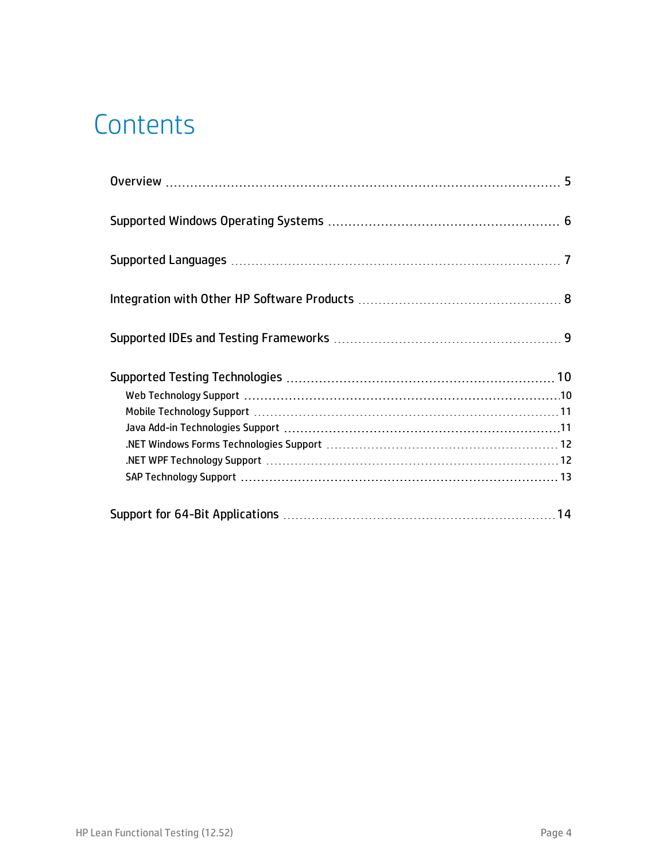## **Contents**

| SAP Technology Support (and according control of the control of the state of the state of the state of the state of the state of the state of the state of the state of the state of the state of the state of the state of th |  |
|--------------------------------------------------------------------------------------------------------------------------------------------------------------------------------------------------------------------------------|--|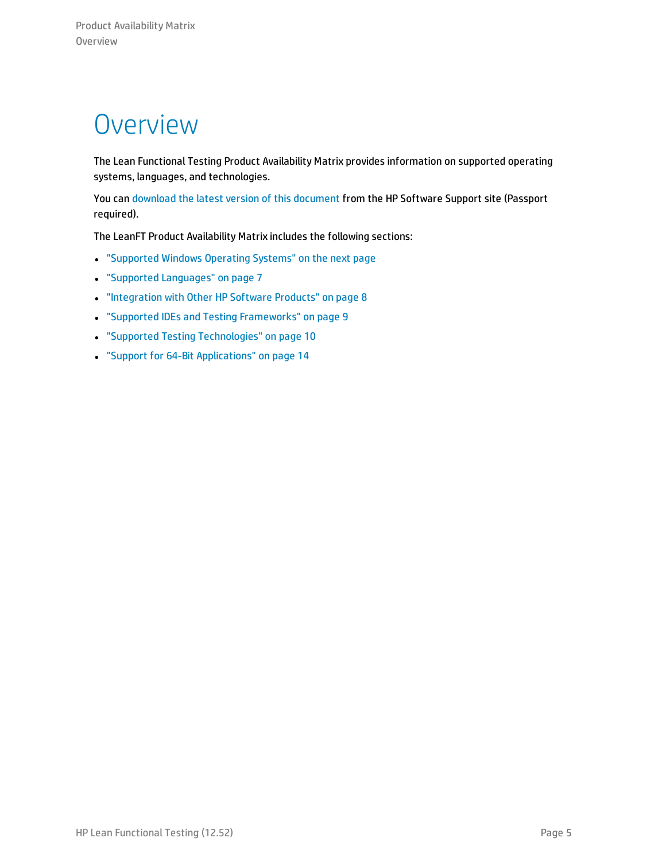### <span id="page-4-0"></span>**Overview**

The Lean Functional Testing Product Availability Matrix provides information on supported operating systems, languages, and technologies.

You can download the latest version of this [document](https://softwaresupport.hp.com/group/softwaresupport/search-result/-/facetsearch/document/KM02046132) from the HP Software Support site (Passport required).

The LeanFT Product Availability Matrix includes the following sections:

- <sup>l</sup> ["Supported](#page-5-0) Windows Operating Systems" on the next page
- **.** "Supported [Languages"](#page-6-0) on page 7
- ["Integration](#page-7-0) with Other HP Software Products" on page 8
- **.** "Supported IDEs and Testing [Frameworks"](#page-8-0) on page 9
- **.** "Supported Testing [Technologies"](#page-9-0) on page 10
- <sup>l</sup> "Support for 64-Bit [Applications"](#page-13-0) on page 14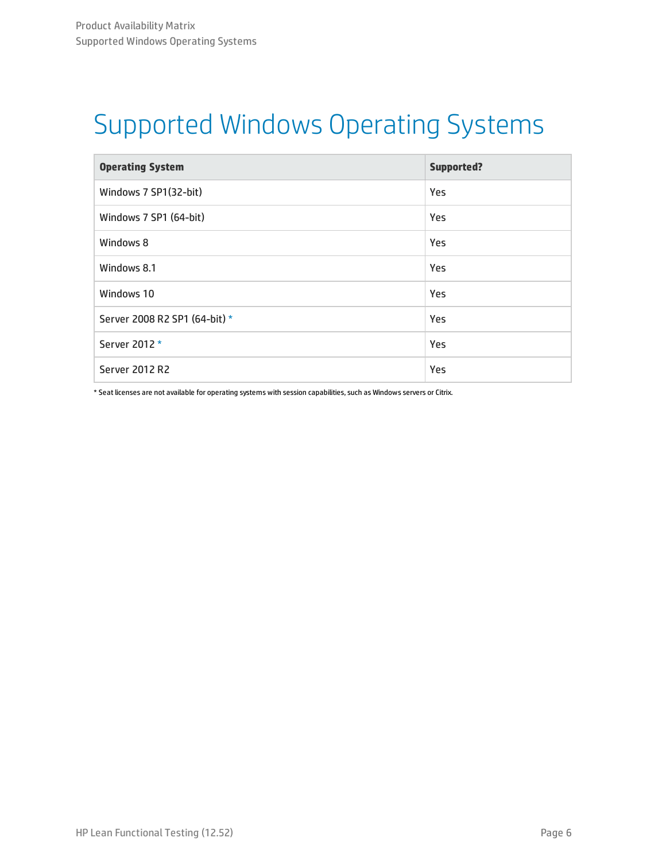# <span id="page-5-0"></span>Supported Windows Operating Systems

| <b>Operating System</b>       | <b>Supported?</b> |
|-------------------------------|-------------------|
| Windows 7 SP1(32-bit)         | Yes               |
| Windows 7 SP1 (64-bit)        | Yes               |
| Windows 8                     | Yes               |
| Windows 8.1                   | Yes               |
| Windows 10                    | Yes               |
| Server 2008 R2 SP1 (64-bit) * | Yes               |
| Server 2012 *                 | Yes               |
| <b>Server 2012 R2</b>         | Yes               |

<span id="page-5-1"></span>\* Seat licenses are not available for operating systems with session capabilities, such as Windows servers or Citrix.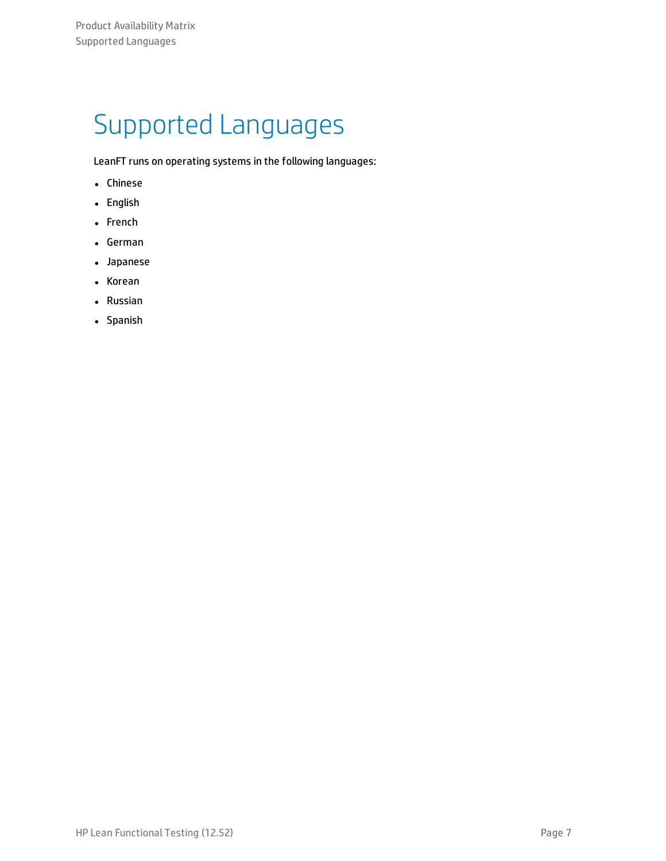# <span id="page-6-0"></span>Supported Languages

LeanFT runs on operating systems in the following languages:

- Chinese
- English
- French
- German
- Japanese
- Korean
- Russian
- Spanish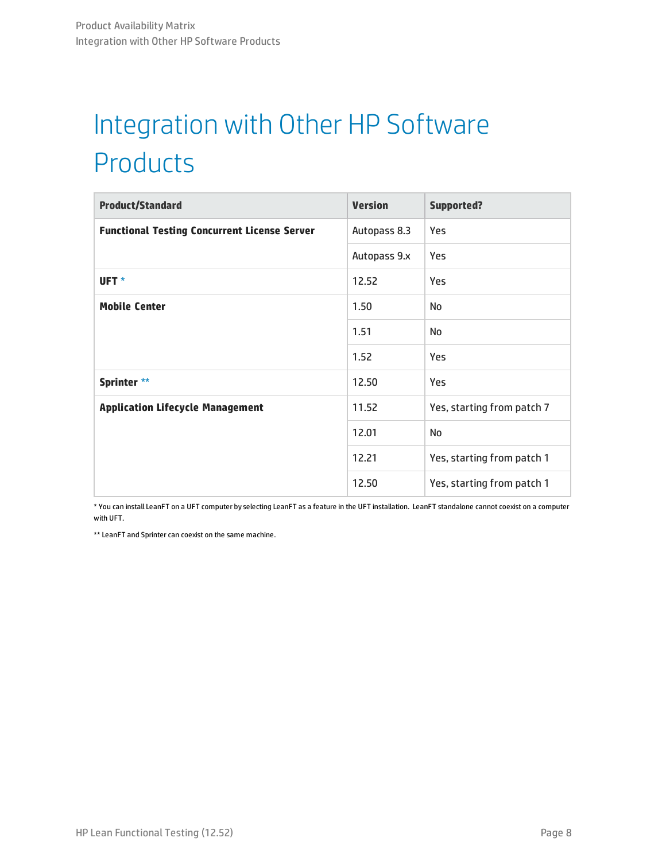# <span id="page-7-0"></span>Integration with Other HP Software Products

| <b>Product/Standard</b>                             | <b>Version</b> | <b>Supported?</b>          |
|-----------------------------------------------------|----------------|----------------------------|
| <b>Functional Testing Concurrent License Server</b> | Autopass 8.3   | Yes                        |
|                                                     | Autopass 9.x   | Yes                        |
| UFT <sup>*</sup>                                    | 12.52          | <b>Yes</b>                 |
| <b>Mobile Center</b>                                | 1.50           | No                         |
|                                                     | 1.51           | No                         |
|                                                     | 1.52           | Yes                        |
| Sprinter **                                         | 12.50          | Yes                        |
| <b>Application Lifecycle Management</b>             | 11.52          | Yes, starting from patch 7 |
|                                                     | 12.01          | No                         |
|                                                     | 12.21          | Yes, starting from patch 1 |
|                                                     | 12.50          | Yes, starting from patch 1 |

<span id="page-7-1"></span>\* You can install LeanFT on a UFT computer by selecting LeanFT as a feature in the UFT installation. LeanFT standalone cannot coexist on a computer with UFT.

<span id="page-7-2"></span>\*\* LeanFT and Sprinter can coexist on the same machine.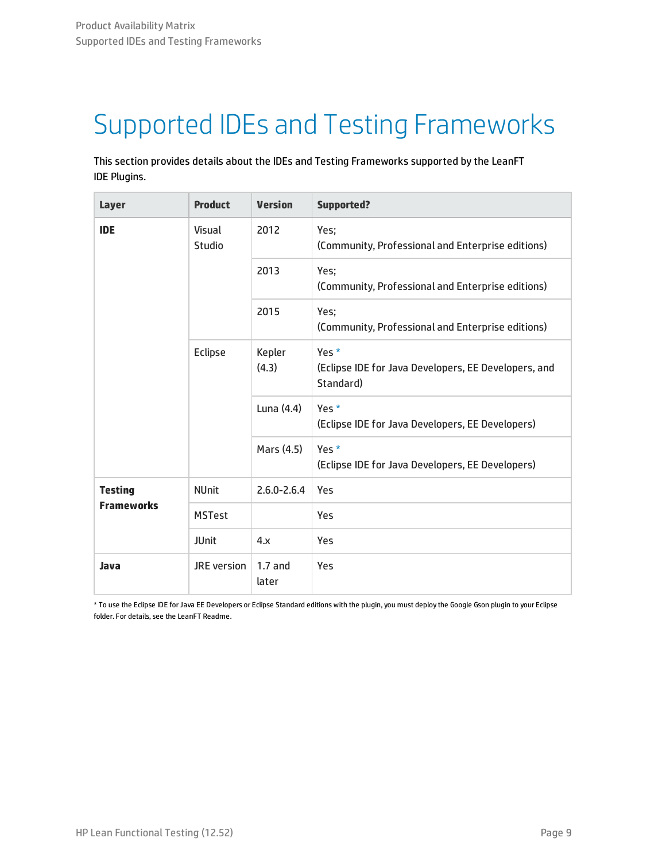# <span id="page-8-0"></span>Supported IDEs and Testing Frameworks

This section provides details about the IDEs and Testing Frameworks supported by the LeanFT IDE Plugins.

| <b>Layer</b>      | <b>Product</b>   | <b>Version</b>     | <b>Supported?</b>                                                          |
|-------------------|------------------|--------------------|----------------------------------------------------------------------------|
| <b>IDE</b>        | Visual<br>Studio | 2012               | Yes;<br>(Community, Professional and Enterprise editions)                  |
|                   |                  | 2013               | Yes;<br>(Community, Professional and Enterprise editions)                  |
|                   |                  |                    | Yes;<br>(Community, Professional and Enterprise editions)                  |
| Eclipse           |                  | Kepler<br>(4.3)    | Yes *<br>(Eclipse IDE for Java Developers, EE Developers, and<br>Standard) |
|                   |                  | Luna $(4.4)$       | Yes *<br>(Eclipse IDE for Java Developers, EE Developers)                  |
|                   |                  | Mars (4.5)         | Yes *<br>(Eclipse IDE for Java Developers, EE Developers)                  |
| <b>Testing</b>    | <b>NUnit</b>     | $2.6.0 - 2.6.4$    | Yes                                                                        |
| <b>Frameworks</b> | <b>MSTest</b>    |                    | Yes                                                                        |
|                   | <b>JUnit</b>     | 4.x                | Yes                                                                        |
| Java              | JRE version      | $1.7$ and<br>later | Yes                                                                        |

<span id="page-8-1"></span>\* To use the Eclipse IDE forJava EE Developers or Eclipse Standard editions with the plugin, you must deploy the Google Gson plugin to your Eclipse folder. For details, see the LeanFT Readme.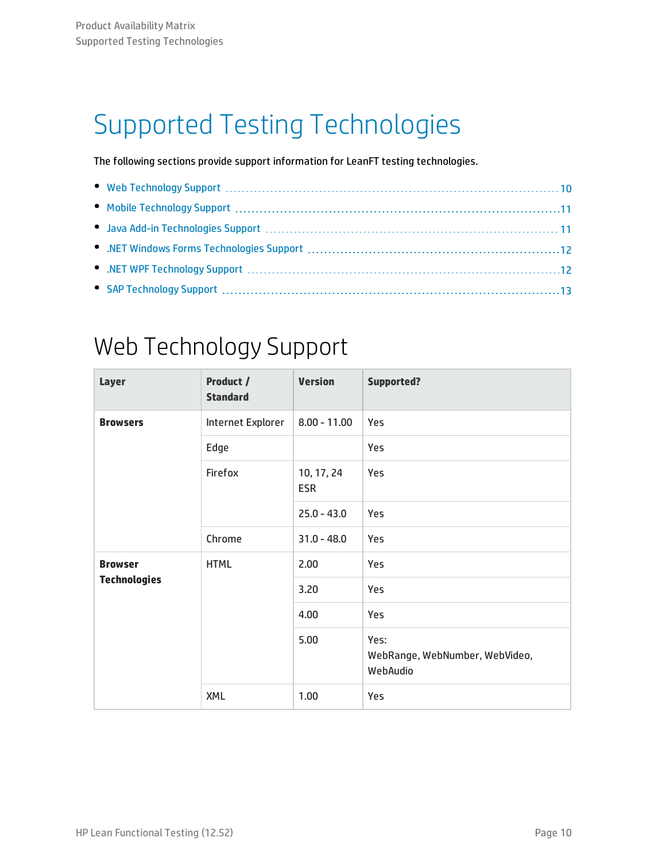# <span id="page-9-0"></span>Supported Testing Technologies

The following sections provide support information for LeanFT testing technologies.

### <span id="page-9-1"></span>Web Technology Support

| <b>Layer</b>        | Product /<br><b>Standard</b> | <b>Version</b>           | <b>Supported?</b>                                  |
|---------------------|------------------------------|--------------------------|----------------------------------------------------|
| <b>Browsers</b>     | Internet Explorer            | $8.00 - 11.00$           | Yes                                                |
|                     | Edge                         |                          | Yes                                                |
|                     | Firefox                      | 10, 17, 24<br><b>ESR</b> | Yes                                                |
|                     |                              | $25.0 - 43.0$            | Yes                                                |
|                     | Chrome                       | $31.0 - 48.0$            | Yes                                                |
| <b>Browser</b>      | <b>HTML</b>                  | 2.00                     | Yes                                                |
| <b>Technologies</b> |                              |                          | Yes                                                |
|                     |                              | 4.00                     | Yes                                                |
|                     |                              | 5.00                     | Yes:<br>WebRange, WebNumber, WebVideo,<br>WebAudio |
|                     | XML                          | 1.00                     | Yes                                                |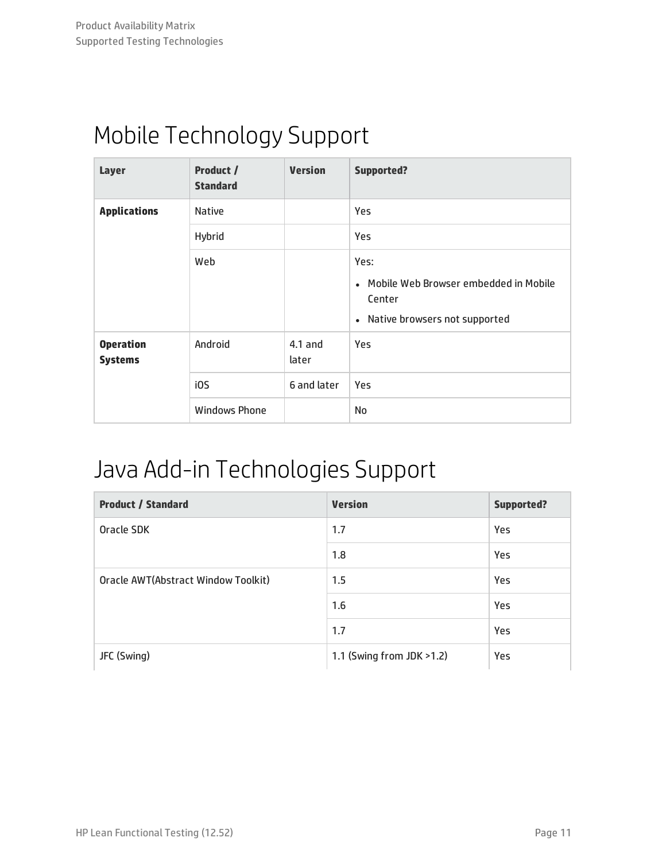### <span id="page-10-0"></span>Mobile Technology Support

| Layer                              | Product /<br><b>Standard</b> | <b>Version</b>     | <b>Supported?</b>                                                                            |
|------------------------------------|------------------------------|--------------------|----------------------------------------------------------------------------------------------|
| <b>Applications</b>                | <b>Native</b>                |                    | Yes                                                                                          |
|                                    | Hybrid                       |                    | <b>Yes</b>                                                                                   |
|                                    | Web                          |                    | Yes:<br>• Mobile Web Browser embedded in Mobile<br>Center<br>• Native browsers not supported |
| <b>Operation</b><br><b>Systems</b> | Android                      | $4.1$ and<br>later | Yes                                                                                          |
|                                    | i0S                          | 6 and later        | Yes                                                                                          |
|                                    | <b>Windows Phone</b>         |                    | No                                                                                           |

#### <span id="page-10-1"></span>Java Add-in Technologies Support

| <b>Product / Standard</b>           | <b>Version</b>            | <b>Supported?</b> |
|-------------------------------------|---------------------------|-------------------|
| Oracle SDK                          | 1.7                       | Yes               |
|                                     | 1.8                       | Yes               |
| Oracle AWT(Abstract Window Toolkit) | 1.5                       | Yes               |
|                                     | 1.6                       | Yes               |
|                                     | 1.7                       | Yes               |
| JFC (Swing)                         | 1.1 (Swing from JDK >1.2) | Yes               |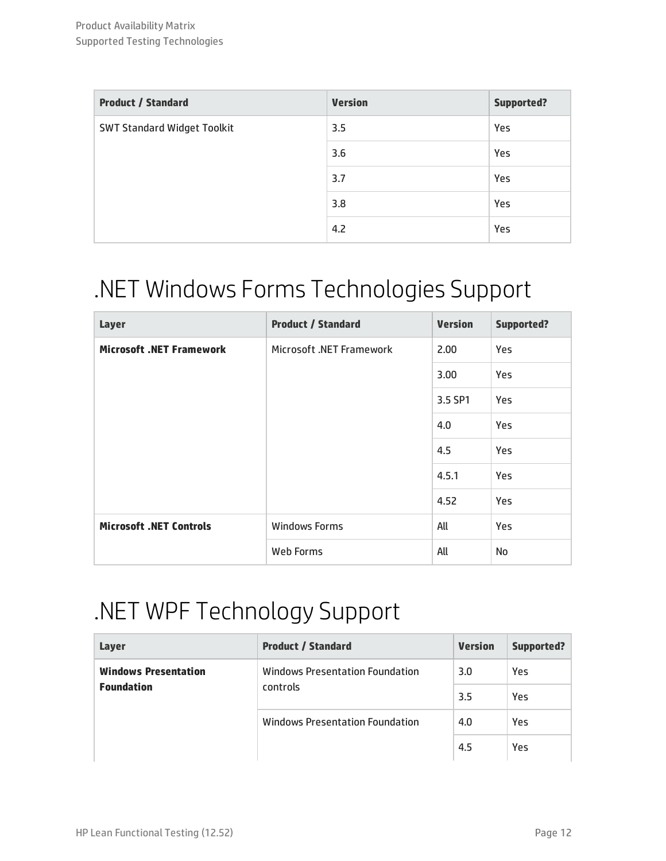| <b>Product / Standard</b>          | <b>Version</b> | <b>Supported?</b> |
|------------------------------------|----------------|-------------------|
| <b>SWT Standard Widget Toolkit</b> | 3.5            | Yes               |
|                                    | 3.6            | Yes               |
|                                    | 3.7            | Yes               |
|                                    | 3.8            | Yes               |
|                                    | 4.2            | Yes               |

### <span id="page-11-0"></span>.NET Windows Forms Technologies Support

| <b>Layer</b>                    | <b>Product / Standard</b> | <b>Version</b> | <b>Supported?</b> |
|---------------------------------|---------------------------|----------------|-------------------|
| <b>Microsoft .NET Framework</b> | Microsoft .NET Framework  | 2.00           | Yes               |
|                                 |                           | 3.00           | Yes               |
|                                 |                           | 3.5 SP1        | <b>Yes</b>        |
|                                 |                           | 4.0            | Yes               |
|                                 |                           | 4.5            | Yes               |
|                                 |                           | 4.5.1          | Yes               |
|                                 |                           | 4.52           | Yes               |
| <b>Microsoft .NET Controls</b>  | <b>Windows Forms</b>      | All            | Yes               |
|                                 | Web Forms                 | All            | No                |

### <span id="page-11-1"></span>.NET WPF Technology Support

| Layer                                                        | <b>Product / Standard</b>       | <b>Version</b> | Supported? |
|--------------------------------------------------------------|---------------------------------|----------------|------------|
| <b>Windows Presentation</b><br><b>Foundation</b><br>controls | Windows Presentation Foundation | 3.0            | Yes        |
|                                                              |                                 | 3.5            | Yes        |
|                                                              | Windows Presentation Foundation | 4.0            | Yes        |
|                                                              |                                 | 4.5            | Yes        |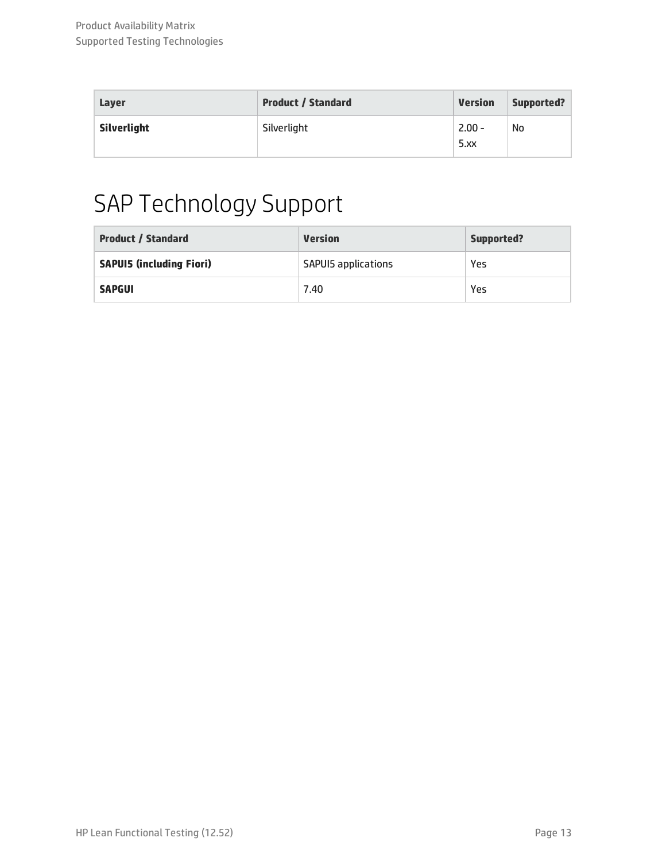| Laver       | <b>Product / Standard</b> | <b>Version</b>   | Supported? |
|-------------|---------------------------|------------------|------------|
| Silverlight | Silverlight               | $2.00 -$<br>5.xx | No         |

# <span id="page-12-0"></span>SAP Technology Support

| <b>Product / Standard</b>       | <b>Version</b>             | Supported? |
|---------------------------------|----------------------------|------------|
| <b>SAPUI5 (including Fiori)</b> | <b>SAPUIS applications</b> | Yes        |
| <b>SAPGUI</b>                   | 7.40                       | Yes        |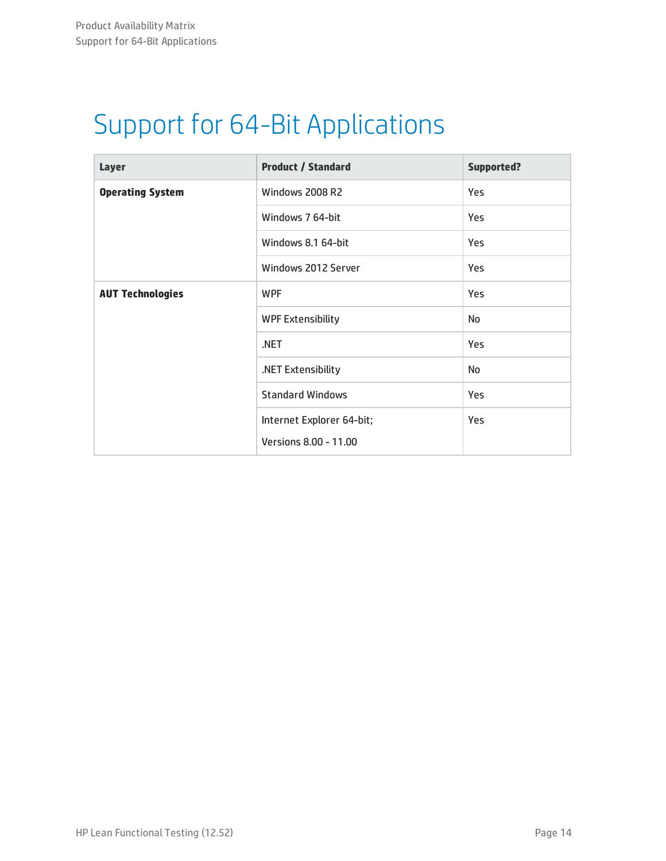# <span id="page-13-0"></span>Support for 64-Bit Applications

| <b>Layer</b>            | <b>Product / Standard</b> | <b>Supported?</b> |
|-------------------------|---------------------------|-------------------|
| <b>Operating System</b> | <b>Windows 2008 R2</b>    | Yes               |
|                         | Windows 7 64-bit          | Yes               |
|                         | Windows 8.1 64-bit        | Yes               |
|                         | Windows 2012 Server       | Yes               |
| <b>AUT Technologies</b> | <b>WPF</b>                | Yes               |
|                         | <b>WPF Extensibility</b>  | No                |
|                         | .NET                      | <b>Yes</b>        |
|                         | .NET Extensibility        | <b>No</b>         |
|                         | <b>Standard Windows</b>   | Yes               |
|                         | Internet Explorer 64-bit; | <b>Yes</b>        |
|                         | Versions 8.00 - 11.00     |                   |